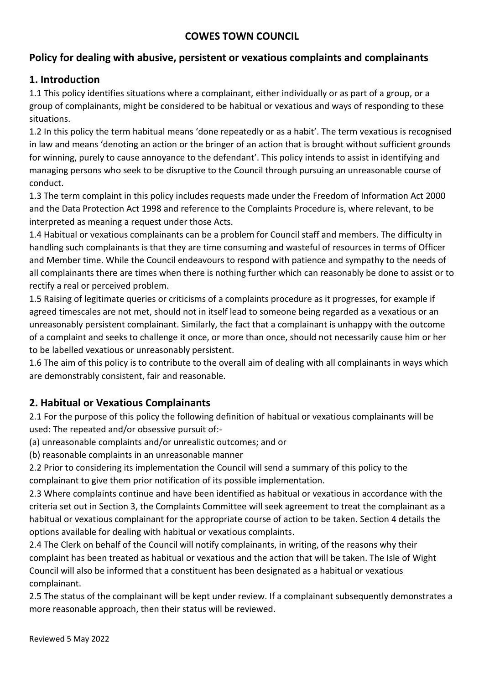### **COWES TOWN COUNCIL**

### **Policy for dealing with abusive, persistent or vexatious complaints and complainants**

### **1. Introduction**

1.1 This policy identifies situations where a complainant, either individually or as part of a group, or a group of complainants, might be considered to be habitual or vexatious and ways of responding to these situations.

1.2 In this policy the term habitual means 'done repeatedly or as a habit'. The term vexatious is recognised in law and means 'denoting an action or the bringer of an action that is brought without sufficient grounds for winning, purely to cause annoyance to the defendant'. This policy intends to assist in identifying and managing persons who seek to be disruptive to the Council through pursuing an unreasonable course of conduct.

1.3 The term complaint in this policy includes requests made under the Freedom of Information Act 2000 and the Data Protection Act 1998 and reference to the Complaints Procedure is, where relevant, to be interpreted as meaning a request under those Acts.

1.4 Habitual or vexatious complainants can be a problem for Council staff and members. The difficulty in handling such complainants is that they are time consuming and wasteful of resources in terms of Officer and Member time. While the Council endeavours to respond with patience and sympathy to the needs of all complainants there are times when there is nothing further which can reasonably be done to assist or to rectify a real or perceived problem.

1.5 Raising of legitimate queries or criticisms of a complaints procedure as it progresses, for example if agreed timescales are not met, should not in itself lead to someone being regarded as a vexatious or an unreasonably persistent complainant. Similarly, the fact that a complainant is unhappy with the outcome of a complaint and seeks to challenge it once, or more than once, should not necessarily cause him or her to be labelled vexatious or unreasonably persistent.

1.6 The aim of this policy is to contribute to the overall aim of dealing with all complainants in ways which are demonstrably consistent, fair and reasonable.

### **2. Habitual or Vexatious Complainants**

2.1 For the purpose of this policy the following definition of habitual or vexatious complainants will be used: The repeated and/or obsessive pursuit of:-

(a) unreasonable complaints and/or unrealistic outcomes; and or

(b) reasonable complaints in an unreasonable manner

2.2 Prior to considering its implementation the Council will send a summary of this policy to the complainant to give them prior notification of its possible implementation.

2.3 Where complaints continue and have been identified as habitual or vexatious in accordance with the criteria set out in Section 3, the Complaints Committee will seek agreement to treat the complainant as a habitual or vexatious complainant for the appropriate course of action to be taken. Section 4 details the options available for dealing with habitual or vexatious complaints.

2.4 The Clerk on behalf of the Council will notify complainants, in writing, of the reasons why their complaint has been treated as habitual or vexatious and the action that will be taken. The Isle of Wight Council will also be informed that a constituent has been designated as a habitual or vexatious complainant.

2.5 The status of the complainant will be kept under review. If a complainant subsequently demonstrates a more reasonable approach, then their status will be reviewed.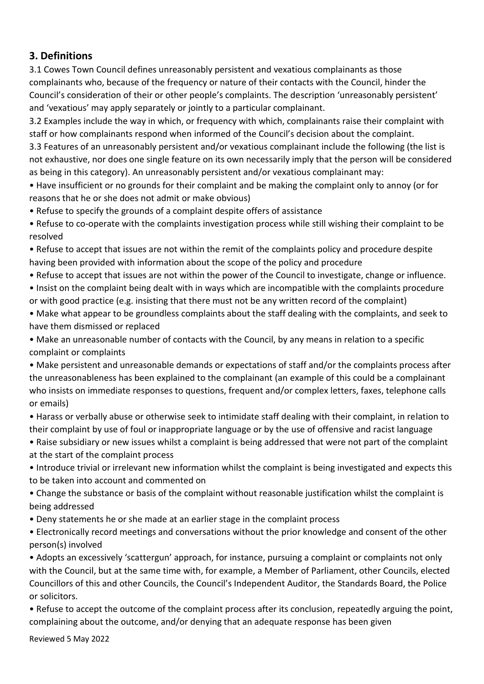# **3. Definitions**

3.1 Cowes Town Council defines unreasonably persistent and vexatious complainants as those complainants who, because of the frequency or nature of their contacts with the Council, hinder the Council's consideration of their or other people's complaints. The description 'unreasonably persistent' and 'vexatious' may apply separately or jointly to a particular complainant.

3.2 Examples include the way in which, or frequency with which, complainants raise their complaint with staff or how complainants respond when informed of the Council's decision about the complaint.

3.3 Features of an unreasonably persistent and/or vexatious complainant include the following (the list is not exhaustive, nor does one single feature on its own necessarily imply that the person will be considered as being in this category). An unreasonably persistent and/or vexatious complainant may:

• Have insufficient or no grounds for their complaint and be making the complaint only to annoy (or for reasons that he or she does not admit or make obvious)

• Refuse to specify the grounds of a complaint despite offers of assistance

• Refuse to co-operate with the complaints investigation process while still wishing their complaint to be resolved

• Refuse to accept that issues are not within the remit of the complaints policy and procedure despite having been provided with information about the scope of the policy and procedure

• Refuse to accept that issues are not within the power of the Council to investigate, change or influence. • Insist on the complaint being dealt with in ways which are incompatible with the complaints procedure

or with good practice (e.g. insisting that there must not be any written record of the complaint)

• Make what appear to be groundless complaints about the staff dealing with the complaints, and seek to have them dismissed or replaced

• Make an unreasonable number of contacts with the Council, by any means in relation to a specific complaint or complaints

• Make persistent and unreasonable demands or expectations of staff and/or the complaints process after the unreasonableness has been explained to the complainant (an example of this could be a complainant who insists on immediate responses to questions, frequent and/or complex letters, faxes, telephone calls or emails)

• Harass or verbally abuse or otherwise seek to intimidate staff dealing with their complaint, in relation to their complaint by use of foul or inappropriate language or by the use of offensive and racist language

• Raise subsidiary or new issues whilst a complaint is being addressed that were not part of the complaint at the start of the complaint process

• Introduce trivial or irrelevant new information whilst the complaint is being investigated and expects this to be taken into account and commented on

• Change the substance or basis of the complaint without reasonable justification whilst the complaint is being addressed

• Deny statements he or she made at an earlier stage in the complaint process

• Electronically record meetings and conversations without the prior knowledge and consent of the other person(s) involved

• Adopts an excessively 'scattergun' approach, for instance, pursuing a complaint or complaints not only with the Council, but at the same time with, for example, a Member of Parliament, other Councils, elected Councillors of this and other Councils, the Council's Independent Auditor, the Standards Board, the Police or solicitors.

• Refuse to accept the outcome of the complaint process after its conclusion, repeatedly arguing the point, complaining about the outcome, and/or denying that an adequate response has been given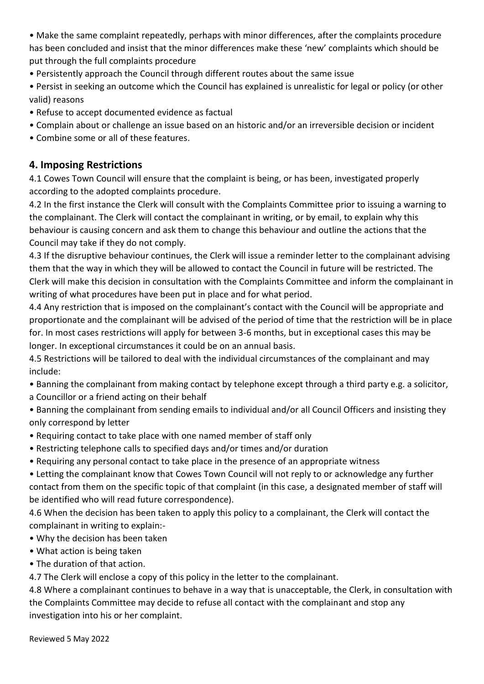• Make the same complaint repeatedly, perhaps with minor differences, after the complaints procedure has been concluded and insist that the minor differences make these 'new' complaints which should be put through the full complaints procedure

• Persistently approach the Council through different routes about the same issue

• Persist in seeking an outcome which the Council has explained is unrealistic for legal or policy (or other valid) reasons

- Refuse to accept documented evidence as factual
- Complain about or challenge an issue based on an historic and/or an irreversible decision or incident
- Combine some or all of these features.

# **4. Imposing Restrictions**

4.1 Cowes Town Council will ensure that the complaint is being, or has been, investigated properly according to the adopted complaints procedure.

4.2 In the first instance the Clerk will consult with the Complaints Committee prior to issuing a warning to the complainant. The Clerk will contact the complainant in writing, or by email, to explain why this behaviour is causing concern and ask them to change this behaviour and outline the actions that the Council may take if they do not comply.

4.3 If the disruptive behaviour continues, the Clerk will issue a reminder letter to the complainant advising them that the way in which they will be allowed to contact the Council in future will be restricted. The Clerk will make this decision in consultation with the Complaints Committee and inform the complainant in writing of what procedures have been put in place and for what period.

4.4 Any restriction that is imposed on the complainant's contact with the Council will be appropriate and proportionate and the complainant will be advised of the period of time that the restriction will be in place for. In most cases restrictions will apply for between 3-6 months, but in exceptional cases this may be longer. In exceptional circumstances it could be on an annual basis.

4.5 Restrictions will be tailored to deal with the individual circumstances of the complainant and may include:

- Banning the complainant from making contact by telephone except through a third party e.g. a solicitor, a Councillor or a friend acting on their behalf
- Banning the complainant from sending emails to individual and/or all Council Officers and insisting they only correspond by letter
- Requiring contact to take place with one named member of staff only
- Restricting telephone calls to specified days and/or times and/or duration
- Requiring any personal contact to take place in the presence of an appropriate witness
- Letting the complainant know that Cowes Town Council will not reply to or acknowledge any further contact from them on the specific topic of that complaint (in this case, a designated member of staff will be identified who will read future correspondence).

4.6 When the decision has been taken to apply this policy to a complainant, the Clerk will contact the complainant in writing to explain:-

- Why the decision has been taken
- What action is being taken
- The duration of that action.

4.7 The Clerk will enclose a copy of this policy in the letter to the complainant.

4.8 Where a complainant continues to behave in a way that is unacceptable, the Clerk, in consultation with the Complaints Committee may decide to refuse all contact with the complainant and stop any investigation into his or her complaint.